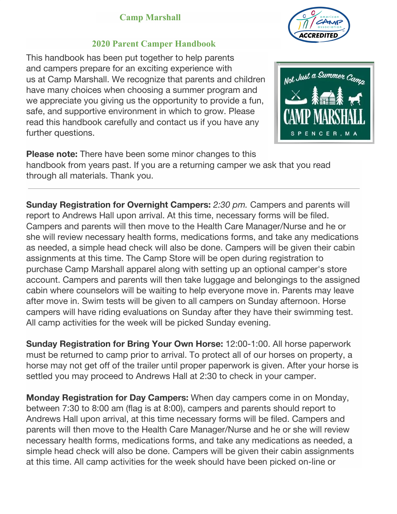

#### **2020 Parent Camper Handbook**

This handbook has been put together to help parents and campers prepare for an exciting experience with us at Camp Marshall. We recognize that parents and children have many choices when choosing a summer program and we appreciate you giving us the opportunity to provide a fun, safe, and supportive environment in which to grow. Please read this handbook carefully and contact us if you have any further questions.



**Please note:** There have been some minor changes to this handbook from years past. If you are a returning camper we ask that you read through all materials. Thank you.

**Sunday Registration for Overnight Campers:** 2:30 pm. Campers and parents will report to Andrews Hall upon arrival. At this time, necessary forms will be filed. Campers and parents will then move to the Health Care Manager/Nurse and he or she will review necessary health forms, medications forms, and take any medications as needed, a simple head check will also be done. Campers will be given their cabin assignments at this time. The Camp Store will be open during registration to purchase Camp Marshall apparel along with setting up an optional camper's store account. Campers and parents will then take luggage and belongings to the assigned cabin where counselors will be waiting to help everyone move in. Parents may leave after move in. Swim tests will be given to all campers on Sunday afternoon. Horse campers will have riding evaluations on Sunday after they have their swimming test. All camp activities for the week will be picked Sunday evening.

**Sunday Registration for Bring Your Own Horse:** 12:00-1:00. All horse paperwork must be returned to camp prior to arrival. To protect all of our horses on property, a horse may not get off of the trailer until proper paperwork is given. After your horse is settled you may proceed to Andrews Hall at 2:30 to check in your camper.

**Monday Registration for Day Campers:** When day campers come in on Monday, between 7:30 to 8:00 am (flag is at 8:00), campers and parents should report to Andrews Hall upon arrival, at this time necessary forms will be filed. Campers and parents will then move to the Health Care Manager/Nurse and he or she will review necessary health forms, medications forms, and take any medications as needed, a simple head check will also be done. Campers will be given their cabin assignments at this time. All camp activities for the week should have been picked on-line or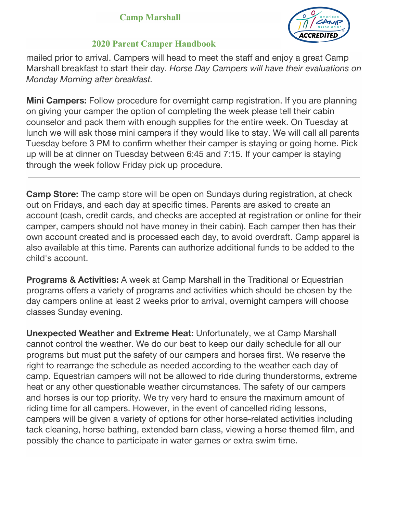

### **2020 Parent Camper Handbook**

mailed prior to arrival. Campers will head to meet the staff and enjoy a great Camp Marshall breakfast to start their day. *Horse Day Campers will have their evaluations on Monday Morning after breakfast.*

**Mini Campers:** Follow procedure for overnight camp registration. If you are planning on giving your camper the option of completing the week please tell their cabin counselor and pack them with enough supplies for the entire week. On Tuesday at lunch we will ask those mini campers if they would like to stay. We will call all parents Tuesday before 3 PM to confirm whether their camper is staying or going home. Pick up will be at dinner on Tuesday between 6:45 and 7:15. If your camper is staying through the week follow Friday pick up procedure.

**Camp Store:** The camp store will be open on Sundays during registration, at check out on Fridays, and each day at specific times. Parents are asked to create an account (cash, credit cards, and checks are accepted at registration or online for their camper, campers should not have money in their cabin). Each camper then has their own account created and is processed each day, to avoid overdraft. Camp apparel is also available at this time. Parents can authorize additional funds to be added to the child's account.

**Programs & Activities:** A week at Camp Marshall in the Traditional or Equestrian programs offers a variety of programs and activities which should be chosen by the day campers online at least 2 weeks prior to arrival, overnight campers will choose classes Sunday evening.

**Unexpected Weather and Extreme Heat:** Unfortunately, we at Camp Marshall cannot control the weather. We do our best to keep our daily schedule for all our programs but must put the safety of our campers and horses first. We reserve the right to rearrange the schedule as needed according to the weather each day of camp. Equestrian campers will not be allowed to ride during thunderstorms, extreme heat or any other questionable weather circumstances. The safety of our campers and horses is our top priority. We try very hard to ensure the maximum amount of riding time for all campers. However, in the event of cancelled riding lessons, campers will be given a variety of options for other horse-related activities including tack cleaning, horse bathing, extended barn class, viewing a horse themed film, and possibly the chance to participate in water games or extra swim time.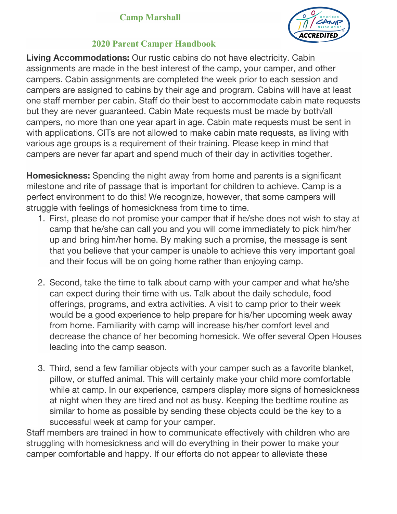

### **2020 Parent Camper Handbook**

**Living Accommodations:** Our rustic cabins do not have electricity. Cabin assignments are made in the best interest of the camp, your camper, and other campers. Cabin assignments are completed the week prior to each session and campers are assigned to cabins by their age and program. Cabins will have at least one staff member per cabin. Staff do their best to accommodate cabin mate requests but they are never guaranteed. Cabin Mate requests must be made by both/all campers, no more than one year apart in age. Cabin mate requests must be sent in with applications. CITs are not allowed to make cabin mate requests, as living with various age groups is a requirement of their training. Please keep in mind that campers are never far apart and spend much of their day in activities together.

**Homesickness:** Spending the night away from home and parents is a significant milestone and rite of passage that is important for children to achieve. Camp is a perfect environment to do this! We recognize, however, that some campers will struggle with feelings of homesickness from time to time.

- 1. First, please do not promise your camper that if he/she does not wish to stay at camp that he/she can call you and you will come immediately to pick him/her up and bring him/her home. By making such a promise, the message is sent that you believe that your camper is unable to achieve this very important goal and their focus will be on going home rather than enjoying camp.
- 2. Second, take the time to talk about camp with your camper and what he/she can expect during their time with us. Talk about the daily schedule, food offerings, programs, and extra activities. A visit to camp prior to their week would be a good experience to help prepare for his/her upcoming week away from home. Familiarity with camp will increase his/her comfort level and decrease the chance of her becoming homesick. We offer several Open Houses leading into the camp season.
- 3. Third, send a few familiar objects with your camper such as a favorite blanket, pillow, or stuffed animal. This will certainly make your child more comfortable while at camp. In our experience, campers display more signs of homesickness at night when they are tired and not as busy. Keeping the bedtime routine as similar to home as possible by sending these objects could be the key to a successful week at camp for your camper.

Staff members are trained in how to communicate effectively with children who are struggling with homesickness and will do everything in their power to make your camper comfortable and happy. If our efforts do not appear to alleviate these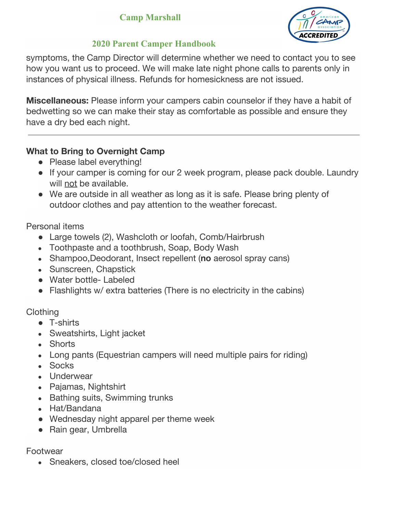

## **2020 Parent Camper Handbook**

symptoms, the Camp Director will determine whether we need to contact you to see how you want us to proceed. We will make late night phone calls to parents only in instances of physical illness. Refunds for homesickness are not issued.

**Miscellaneous:** Please inform your campers cabin counselor if they have a habit of bedwetting so we can make their stay as comfortable as possible and ensure they have a dry bed each night.

## **What to Bring to Overnight Camp**

- Please label everything!
- If your camper is coming for our 2 week program, please pack double. Laundry will not be available.
- We are outside in all weather as long as it is safe. Please bring plenty of outdoor clothes and pay attention to the weather forecast.

Personal items

- Large towels (2), Washcloth or loofah, Comb/Hairbrush
- Toothpaste and a toothbrush, Soap, Body Wash
- Shampoo, Deodorant, Insect repellent (no aerosol spray cans)
- Sunscreen, Chapstick
- Water bottle- Labeled
- Flashlights w/ extra batteries (There is no electricity in the cabins)

### **Clothing**

- T-shirts
- Sweatshirts, Light jacket
- Shorts
- Long pants (Equestrian campers will need multiple pairs for riding)
- Socks
- Underwear
- Pajamas, Nightshirt
- Bathing suits, Swimming trunks
- Hat/Bandana
- Wednesday night apparel per theme week
- Rain gear, Umbrella

Footwear

• Sneakers, closed toe/closed heel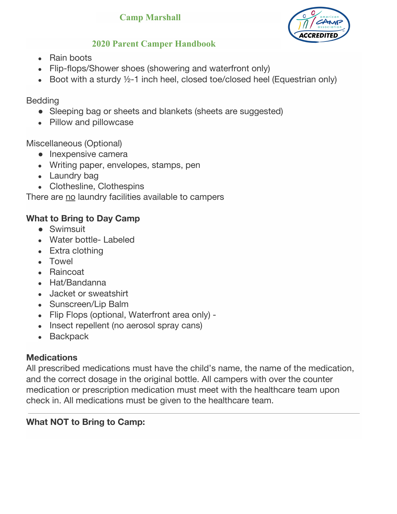

# **2020 Parent Camper Handbook**

- Rain boots
- Flip-flops/Shower shoes (showering and waterfront only)
- Boot with a sturdy  $\frac{1}{2}$ -1 inch heel, closed toe/closed heel (Equestrian only)

## **Bedding**

- Sleeping bag or sheets and blankets (sheets are suggested)
- Pillow and pillowcase

# Miscellaneous (Optional)

- Inexpensive camera
- Writing paper, envelopes, stamps, pen
- Laundry bag
- Clothesline, Clothespins

There are no laundry facilities available to campers

# **What to Bring to Day Camp**

- Swimsuit
- Water bottle- Labeled
- Extra clothing
- Towel
- Raincoat
- Hat/Bandanna
- Jacket or sweatshirt
- Sunscreen/Lip Balm
- Flip Flops (optional, Waterfront area only) -
- Insect repellent (no aerosol spray cans)
- Backpack

# **Medications**

All prescribed medications must have the child's name, the name of the medication, and the correct dosage in the original bottle. All campers with over the counter medication or prescription medication must meet with the healthcare team upon check in. All medications must be given to the healthcare team.

# **What NOT to Bring to Camp:**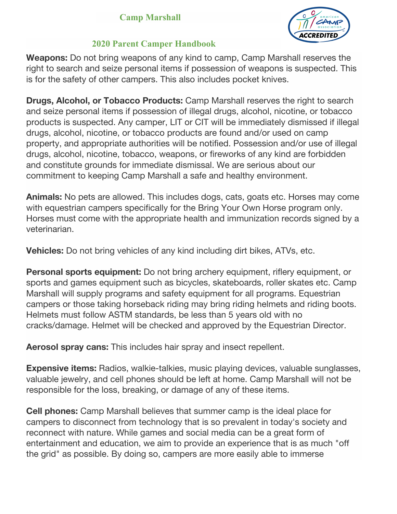

### **2020 Parent Camper Handbook**

**Weapons:** Do not bring weapons of any kind to camp, Camp Marshall reserves the right to search and seize personal items if possession of weapons is suspected. This is for the safety of other campers. This also includes pocket knives.

**Drugs, Alcohol, or Tobacco Products:** Camp Marshall reserves the right to search and seize personal items if possession of illegal drugs, alcohol, nicotine, or tobacco products is suspected. Any camper, LIT or CIT will be immediately dismissed if illegal drugs, alcohol, nicotine, or tobacco products are found and/or used on camp property, and appropriate authorities will be notified. Possession and/or use of illegal drugs, alcohol, nicotine, tobacco, weapons, or fireworks of any kind are forbidden and constitute grounds for immediate dismissal. We are serious about our commitment to keeping Camp Marshall a safe and healthy environment.

**Animals:** No pets are allowed. This includes dogs, cats, goats etc. Horses may come with equestrian campers specifically for the Bring Your Own Horse program only. Horses must come with the appropriate health and immunization records signed by a veterinarian.

**Vehicles:** Do not bring vehicles of any kind including dirt bikes, ATVs, etc.

**Personal sports equipment:** Do not bring archery equipment, riflery equipment, or sports and games equipment such as bicycles, skateboards, roller skates etc. Camp Marshall will supply programs and safety equipment for all programs. Equestrian campers or those taking horseback riding may bring riding helmets and riding boots. Helmets must follow ASTM standards, be less than 5 years old with no cracks/damage. Helmet will be checked and approved by the Equestrian Director.

**Aerosol spray cans:** This includes hair spray and insect repellent.

**Expensive items:** Radios, walkie-talkies, music playing devices, valuable sunglasses, valuable jewelry, and cell phones should be left at home. Camp Marshall will not be responsible for the loss, breaking, or damage of any of these items.

**Cell phones:** Camp Marshall believes that summer camp is the ideal place for campers to disconnect from technology that is so prevalent in today's society and reconnect with nature. While games and social media can be a great form of entertainment and education, we aim to provide an experience that is as much "off the grid" as possible. By doing so, campers are more easily able to immerse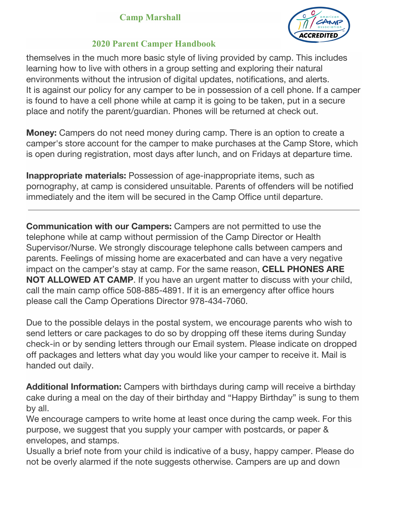

#### **2020 Parent Camper Handbook**

themselves in the much more basic style of living provided by camp. This includes learning how to live with others in a group setting and exploring their natural environments without the intrusion of digital updates, notifications, and alerts. It is against our policy for any camper to be in possession of a cell phone. If a camper is found to have a cell phone while at camp it is going to be taken, put in a secure place and notify the parent/guardian. Phones will be returned at check out.

**Money:** Campers do not need money during camp. There is an option to create a camper's store account for the camper to make purchases at the Camp Store, which is open during registration, most days after lunch, and on Fridays at departure time.

**Inappropriate materials:** Possession of age-inappropriate items, such as pornography, at camp is considered unsuitable. Parents of offenders will be notified immediately and the item will be secured in the Camp Office until departure.

**Communication with our Campers:** Campers are not permitted to use the telephone while at camp without permission of the Camp Director or Health Supervisor/Nurse. We strongly discourage telephone calls between campers and parents. Feelings of missing home are exacerbated and can have a very negative impact on the camper's stay at camp. For the same reason, **CELL PHONES ARE NOT ALLOWED AT CAMP**. If you have an urgent matter to discuss with your child, call the main camp office 508-885-4891. If it is an emergency after office hours please call the Camp Operations Director 978-434-7060.

Due to the possible delays in the postal system, we encourage parents who wish to send letters or care packages to do so by dropping off these items during Sunday check-in or by sending letters through our Email system. Please indicate on dropped off packages and letters what day you would like your camper to receive it. Mail is handed out daily.

**Additional Information:** Campers with birthdays during camp will receive a birthday cake during a meal on the day of their birthday and "Happy Birthday" is sung to them by all.

We encourage campers to write home at least once during the camp week. For this purpose, we suggest that you supply your camper with postcards, or paper & envelopes, and stamps.

Usually a brief note from your child is indicative of a busy, happy camper. Please do not be overly alarmed if the note suggests otherwise. Campers are up and down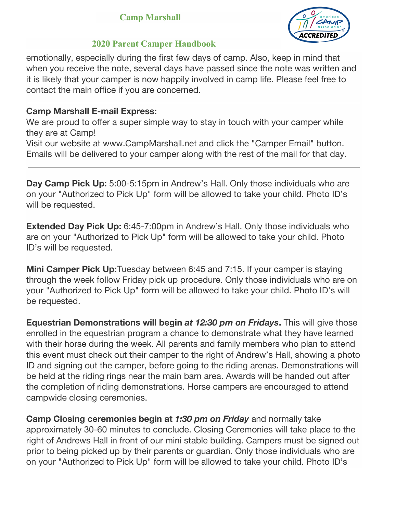

### **2020 Parent Camper Handbook**

emotionally, especially during the first few days of camp. Also, keep in mind that when you receive the note, several days have passed since the note was written and it is likely that your camper is now happily involved in camp life. Please feel free to contact the main office if you are concerned.

#### **Camp Marshall E-mail Express:**

We are proud to offer a super simple way to stay in touch with your camper while they are at Camp!

Visit our website at www.CampMarshall.net and click the "Camper Email" button. Emails will be delivered to your camper along with the rest of the mail for that day.

**Day Camp Pick Up:** 5:00-5:15pm in Andrew's Hall. Only those individuals who are on your "Authorized to Pick Up" form will be allowed to take your child. Photo ID's will be requested.

**Extended Day Pick Up:** 6:45-7:00pm in Andrew's Hall. Only those individuals who are on your "Authorized to Pick Up" form will be allowed to take your child. Photo ID's will be requested.

**Mini Camper Pick Up:**Tuesday between 6:45 and 7:15. If your camper is staying through the week follow Friday pick up procedure. Only those individuals who are on your "Authorized to Pick Up" form will be allowed to take your child. Photo ID's will be requested.

**Equestrian Demonstrations will begin** *at 12:30 pm on Fridays***.** This will give those enrolled in the equestrian program a chance to demonstrate what they have learned with their horse during the week. All parents and family members who plan to attend this event must check out their camper to the right of Andrew's Hall, showing a photo ID and signing out the camper, before going to the riding arenas. Demonstrations will be held at the riding rings near the main barn area. Awards will be handed out after the completion of riding demonstrations. Horse campers are encouraged to attend campwide closing ceremonies.

**Camp Closing ceremonies begin at** *1:30 pm on Friday* and normally take approximately 30-60 minutes to conclude. Closing Ceremonies will take place to the right of Andrews Hall in front of our mini stable building. Campers must be signed out prior to being picked up by their parents or guardian. Only those individuals who are on your "Authorized to Pick Up" form will be allowed to take your child. Photo ID's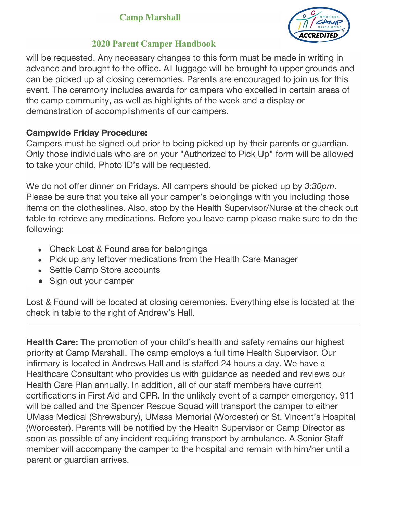

## **2020 Parent Camper Handbook**

will be requested. Any necessary changes to this form must be made in writing in advance and brought to the office. All luggage will be brought to upper grounds and can be picked up at closing ceremonies. Parents are encouraged to join us for this event. The ceremony includes awards for campers who excelled in certain areas of the camp community, as well as highlights of the week and a display or demonstration of accomplishments of our campers.

# **Campwide Friday Procedure:**

Campers must be signed out prior to being picked up by their parents or guardian. Only those individuals who are on your "Authorized to Pick Up" form will be allowed to take your child. Photo ID's will be requested.

We do not offer dinner on Fridays. All campers should be picked up by *3:30pm*. Please be sure that you take all your camper's belongings with you including those items on the clotheslines. Also, stop by the Health Supervisor/Nurse at the check out table to retrieve any medications. Before you leave camp please make sure to do the following:

- Check Lost & Found area for belongings
- Pick up any leftover medications from the Health Care Manager
- Settle Camp Store accounts
- Sign out your camper

Lost & Found will be located at closing ceremonies. Everything else is located at the check in table to the right of Andrew's Hall.

**Health Care:** The promotion of your child's health and safety remains our highest priority at Camp Marshall. The camp employs a full time Health Supervisor. Our infirmary is located in Andrews Hall and is staffed 24 hours a day. We have a Healthcare Consultant who provides us with guidance as needed and reviews our Health Care Plan annually. In addition, all of our staff members have current certifications in First Aid and CPR. In the unlikely event of a camper emergency, 911 will be called and the Spencer Rescue Squad will transport the camper to either UMass Medical (Shrewsbury), UMass Memorial (Worcester) or St. Vincent's Hospital (Worcester). Parents will be notified by the Health Supervisor or Camp Director as soon as possible of any incident requiring transport by ambulance. A Senior Staff member will accompany the camper to the hospital and remain with him/her until a parent or guardian arrives.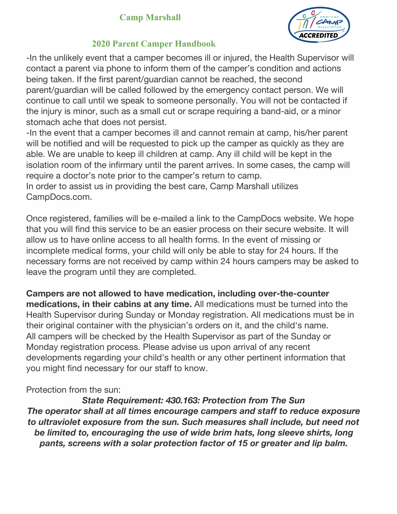

### **2020 Parent Camper Handbook**

-In the unlikely event that a camper becomes ill or injured, the Health Supervisor will contact a parent via phone to inform them of the camper's condition and actions being taken. If the first parent/guardian cannot be reached, the second parent/guardian will be called followed by the emergency contact person. We will continue to call until we speak to someone personally. You will not be contacted if the injury is minor, such as a small cut or scrape requiring a band-aid, or a minor stomach ache that does not persist.

-In the event that a camper becomes ill and cannot remain at camp, his/her parent will be notified and will be requested to pick up the camper as quickly as they are able. We are unable to keep ill children at camp. Any ill child will be kept in the isolation room of the infirmary until the parent arrives. In some cases, the camp will require a doctor's note prior to the camper's return to camp.

In order to assist us in providing the best care, Camp Marshall utilizes CampDocs.com.

Once registered, families will be e-mailed a link to the CampDocs website. We hope that you will find this service to be an easier process on their secure website. It will allow us to have online access to all health forms. In the event of missing or incomplete medical forms, your child will only be able to stay for 24 hours. If the necessary forms are not received by camp within 24 hours campers may be asked to leave the program until they are completed.

**Campers are not allowed to have medication, including over-the-counter medications, in their cabins at any time.** All medications must be turned into the Health Supervisor during Sunday or Monday registration. All medications must be in their original container with the physician's orders on it, and the child's name. All campers will be checked by the Health Supervisor as part of the Sunday or Monday registration process. Please advise us upon arrival of any recent developments regarding your child's health or any other pertinent information that you might find necessary for our staff to know.

### Protection from the sun:

*State Requirement: 430.163: Protection from The Sun The operator shall at all times encourage campers and staff to reduce exposure to ultraviolet exposure from the sun. Such measures shall include, but need not be limited to, encouraging the use of wide brim hats, long sleeve shirts, long pants, screens with a solar protection factor of 15 or greater and lip balm.*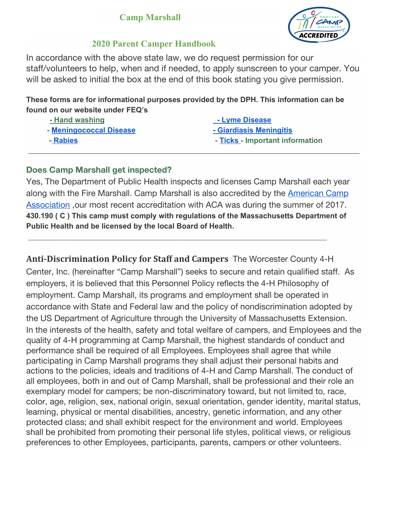

#### **2020 Parent Camper Handbook**

In accordance with the above state law, we do request permission for our staff/volunteers to help, when and if needed, to apply sunscreen to your camper. You will be asked to initial the box at the end of this book stating you give permission.

**These forms are for informational purposes provided by the DPH. This information can be found on our website under FEQ's**

| <u>- Hand washing</u>   | <u>- Lyme Disease</u>           |
|-------------------------|---------------------------------|
| - Meningococcal Disease | - Giardiasis Meningitis         |
| - Rabies                | - Ticks - Important information |

#### **Does Camp Marshall get inspected?**

Yes, The Department of Public Health inspects and licenses Camp Marshall each year along with the Fire Marshall. Camp Marshall is also accredited by the [American](http://www.aca.org/) Camp [Association](http://www.aca.org/) ,our most recent accreditation with ACA was during the summer of 2017. **430.190 ( C ) This camp must comply with regulations of the Massachusetts Department of Public Health and be licensed by the local Board of Health.**

 $\mathcal{L}_\mathcal{L} = \{ \mathcal{L}_\mathcal{L} = \{ \mathcal{L}_\mathcal{L} = \{ \mathcal{L}_\mathcal{L} = \{ \mathcal{L}_\mathcal{L} = \{ \mathcal{L}_\mathcal{L} = \{ \mathcal{L}_\mathcal{L} = \{ \mathcal{L}_\mathcal{L} = \{ \mathcal{L}_\mathcal{L} = \{ \mathcal{L}_\mathcal{L} = \{ \mathcal{L}_\mathcal{L} = \{ \mathcal{L}_\mathcal{L} = \{ \mathcal{L}_\mathcal{L} = \{ \mathcal{L}_\mathcal{L} = \{ \mathcal{L}_\mathcal{$ 

**Anti-Discrimination Policy for Staff and Campers** The Worcester County 4-H Center, Inc. (hereinafter "Camp Marshall") seeks to secure and retain qualified staff. As employers, it is believed that this Personnel Policy reflects the 4-H Philosophy of employment. Camp Marshall, its programs and employment shall be operated in accordance with State and Federal law and the policy of nondiscrimination adopted by the US Department of Agriculture through the University of Massachusetts Extension. In the interests of the health, safety and total welfare of campers, and Employees and the quality of 4-H programming at Camp Marshall, the highest standards of conduct and performance shall be required of all Employees. Employees shall agree that while participating in Camp Marshall programs they shall adjust their personal habits and actions to the policies, ideals and traditions of 4-H and Camp Marshall. The conduct of all employees, both in and out of Camp Marshall, shall be professional and their role an exemplary model for campers; be non-discriminatory toward, but not limited to, race, color, age, religion, sex, national origin, sexual orientation, gender identity, marital status, learning, physical or mental disabilities, ancestry, genetic information, and any other protected class; and shall exhibit respect for the environment and world. Employees shall be prohibited from promoting their personal life styles, political views, or religious preferences to other Employees, participants, parents, campers or other volunteers.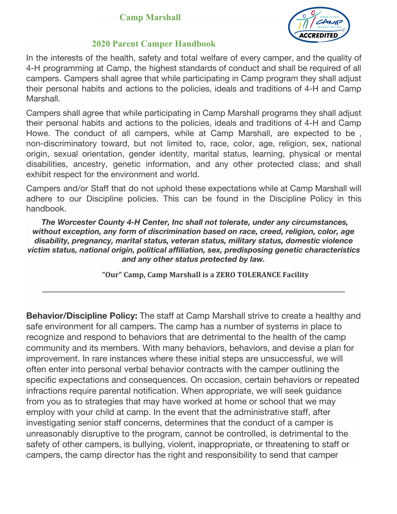

#### **2020 Parent Camper Handbook**

In the interests of the health, safety and total welfare of every camper, and the quality of 4-H programming at Camp, the highest standards of conduct and shall be required of all campers. Campers shall agree that while participating in Camp program they shall adjust their personal habits and actions to the policies, ideals and traditions of 4-H and Camp Marshall.

Campers shall agree that while participating in Camp Marshall programs they shall adjust their personal habits and actions to the policies, ideals and traditions of 4-H and Camp Howe. The conduct of all campers, while at Camp Marshall, are expected to be , non-discriminatory toward, but not limited to, race, color, age, religion, sex, national origin, sexual orientation, gender identity, marital status, learning, physical or mental disabilities, ancestry, genetic information, and any other protected class; and shall exhibit respect for the environment and world.

Campers and/or Staff that do not uphold these expectations while at Camp Marshall will adhere to our Discipline policies. This can be found in the Discipline Policy in this handbook.

*The Worcester County 4-H Center, Inc shall not tolerate, under any circumstances, without exception, any form of discrimination based on race, creed, religion, color, age disability, pregnancy, marital status, veteran status, military status, domestic violence victim status, national origin, political affiliation, sex, predisposing genetic characteristics and any other status protected by law.*

**\_\_\_\_\_\_\_\_\_\_\_\_\_\_\_\_\_\_\_\_\_\_\_\_\_\_\_\_\_\_\_\_\_\_\_\_\_\_\_\_\_\_\_\_\_\_\_\_\_\_\_\_\_\_\_\_\_\_\_\_\_\_\_\_\_\_\_\_\_\_\_\_\_\_\_\_\_\_\_\_\_\_\_\_\_\_\_\_\_\_\_\_\_\_\_\_\_\_\_\_\_\_\_\_\_**

**"Our" Camp, Camp Marshall is a ZERO TOLERANCE Facility**

**Behavior/Discipline Policy:** The staff at Camp Marshall strive to create a healthy and safe environment for all campers. The camp has a number of systems in place to recognize and respond to behaviors that are detrimental to the health of the camp community and its members. With many behaviors, behaviors, and devise a plan for improvement. In rare instances where these initial steps are unsuccessful, we will often enter into personal verbal behavior contracts with the camper outlining the specific expectations and consequences. On occasion, certain behaviors or repeated infractions require parental notification. When appropriate, we will seek guidance from you as to strategies that may have worked at home or school that we may employ with your child at camp. In the event that the administrative staff, after investigating senior staff concerns, determines that the conduct of a camper is unreasonably disruptive to the program, cannot be controlled, is detrimental to the safety of other campers, is bullying, violent, inappropriate, or threatening to staff or campers, the camp director has the right and responsibility to send that camper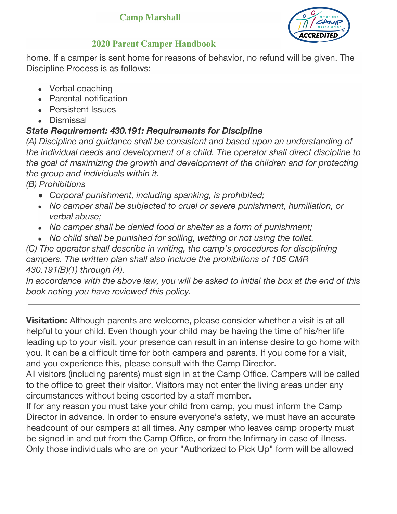

## **2020 Parent Camper Handbook**

home. If a camper is sent home for reasons of behavior, no refund will be given. The Discipline Process is as follows:

- Verbal coaching
- Parental notification
- Persistent Issues
- Dismissal

# *State Requirement: 430.191: Requirements for Discipline*

*(A) Discipline and guidance shall be consistent and based upon an understanding of the individual needs and development of a child. The operator shall direct discipline to the goal of maximizing the growth and development of the children and for protecting the group and individuals within it.*

*(B) Prohibitions*

- *● Corporal punishment, including spanking, is prohibited;*
- *● No camper shall be subjected to cruel or severe punishment, humiliation, or verbal abuse;*
- *● No camper shall be denied food or shelter as a form of punishment;*
- *● No child shall be punished for soiling, wetting or not using the toilet.*

*(C) The operator shall describe in writing, the camp's procedures for disciplining campers. The written plan shall also include the prohibitions of 105 CMR 430.191(B)(1) through (4).*

*In accordance with the above law, you will be asked to initial the box at the end of this book noting you have reviewed this policy.*

**Visitation:** Although parents are welcome, please consider whether a visit is at all helpful to your child. Even though your child may be having the time of his/her life leading up to your visit, your presence can result in an intense desire to go home with you. It can be a difficult time for both campers and parents. If you come for a visit, and you experience this, please consult with the Camp Director.

All visitors (including parents) must sign in at the Camp Office. Campers will be called to the office to greet their visitor. Visitors may not enter the living areas under any circumstances without being escorted by a staff member.

If for any reason you must take your child from camp, you must inform the Camp Director in advance. In order to ensure everyone's safety, we must have an accurate headcount of our campers at all times. Any camper who leaves camp property must be signed in and out from the Camp Office, or from the Infirmary in case of illness. Only those individuals who are on your "Authorized to Pick Up" form will be allowed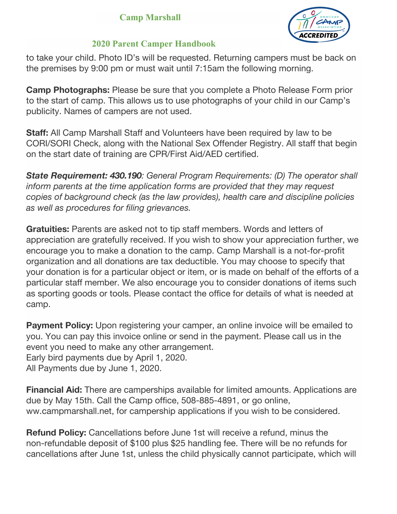

### **2020 Parent Camper Handbook**

to take your child. Photo ID's will be requested. Returning campers must be back on the premises by 9:00 pm or must wait until 7:15am the following morning.

**Camp Photographs:** Please be sure that you complete a Photo Release Form prior to the start of camp. This allows us to use photographs of your child in our Camp's publicity. Names of campers are not used.

**Staff:** All Camp Marshall Staff and Volunteers have been required by law to be CORI/SORI Check, along with the National Sex Offender Registry. All staff that begin on the start date of training are CPR/First Aid/AED certified.

*State Requirement: 430.190: General Program Requirements: (D) The operator shall inform parents at the time application forms are provided that they may request copies of background check (as the law provides), health care and discipline policies as well as procedures for filing grievances.*

**Gratuities:** Parents are asked not to tip staff members. Words and letters of appreciation are gratefully received. If you wish to show your appreciation further, we encourage you to make a donation to the camp. Camp Marshall is a not-for-profit organization and all donations are tax deductible. You may choose to specify that your donation is for a particular object or item, or is made on behalf of the efforts of a particular staff member. We also encourage you to consider donations of items such as sporting goods or tools. Please contact the office for details of what is needed at camp.

**Payment Policy:** Upon registering your camper, an online invoice will be emailed to you. You can pay this invoice online or send in the payment. Please call us in the event you need to make any other arrangement. Early bird payments due by April 1, 2020.

All Payments due by June 1, 2020.

**Financial Aid:** There are camperships available for limited amounts. Applications are due by May 15th. Call the Camp office, 508-885-4891, or go online, ww.campmarshall.net, for campership applications if you wish to be considered.

**Refund Policy:** Cancellations before June 1st will receive a refund, minus the non-refundable deposit of \$100 plus \$25 handling fee. There will be no refunds for cancellations after June 1st, unless the child physically cannot participate, which will